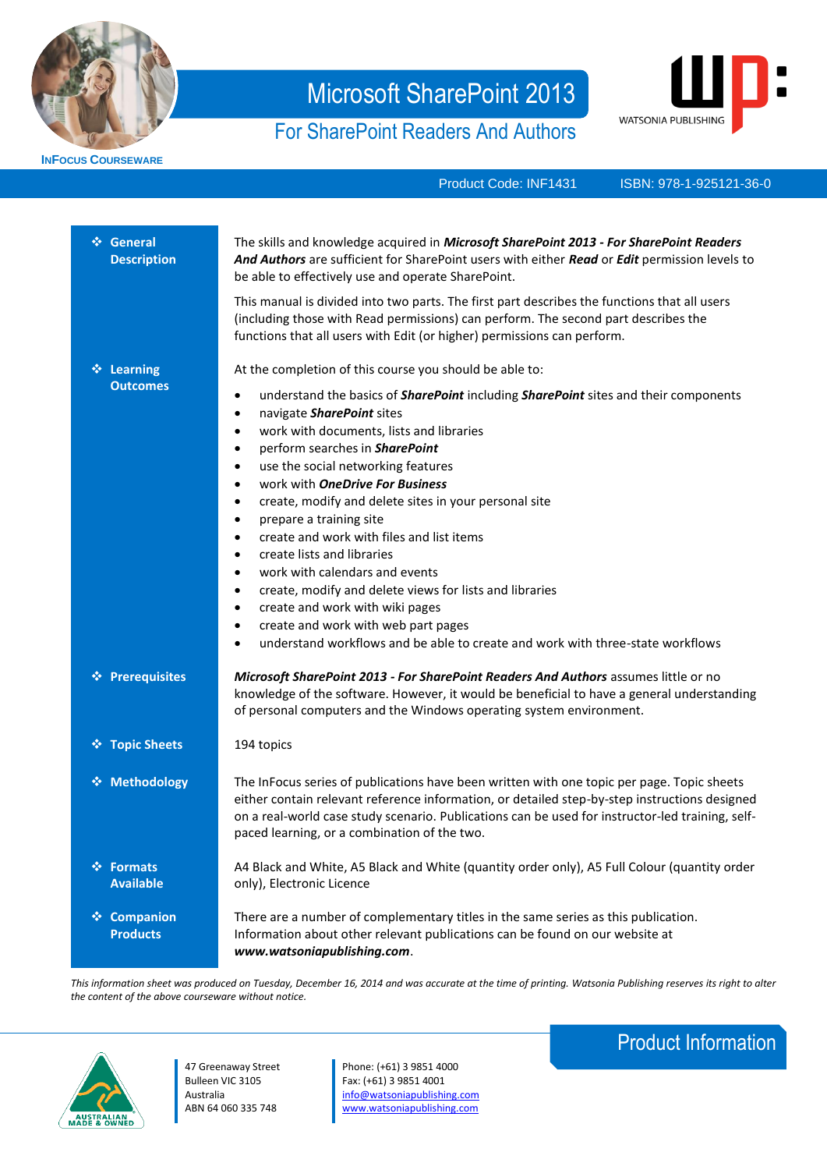

**INFOCUS COURSEWARE**

# Microsoft SharePoint 2013

# For SharePoint Readers And Authors



Product Code: INF1431

ISBN: 978-1-925121-36-0

| ❖ General<br><b>Description</b> | The skills and knowledge acquired in Microsoft SharePoint 2013 - For SharePoint Readers<br>And Authors are sufficient for SharePoint users with either Read or Edit permission levels to<br>be able to effectively use and operate SharePoint.<br>This manual is divided into two parts. The first part describes the functions that all users<br>(including those with Read permissions) can perform. The second part describes the<br>functions that all users with Edit (or higher) permissions can perform.                                                                                                                                                                                                                                                                                                                                                                                            |
|---------------------------------|------------------------------------------------------------------------------------------------------------------------------------------------------------------------------------------------------------------------------------------------------------------------------------------------------------------------------------------------------------------------------------------------------------------------------------------------------------------------------------------------------------------------------------------------------------------------------------------------------------------------------------------------------------------------------------------------------------------------------------------------------------------------------------------------------------------------------------------------------------------------------------------------------------|
| ❖ Learning<br><b>Outcomes</b>   | At the completion of this course you should be able to:<br>understand the basics of <b>SharePoint</b> including <b>SharePoint</b> sites and their components<br>$\bullet$<br>navigate SharePoint sites<br>٠<br>work with documents, lists and libraries<br>$\bullet$<br>perform searches in SharePoint<br>٠<br>use the social networking features<br>$\bullet$<br>work with <b>OneDrive For Business</b><br>$\bullet$<br>create, modify and delete sites in your personal site<br>٠<br>prepare a training site<br>٠<br>create and work with files and list items<br>٠<br>create lists and libraries<br>$\bullet$<br>work with calendars and events<br>٠<br>create, modify and delete views for lists and libraries<br>٠<br>create and work with wiki pages<br>٠<br>create and work with web part pages<br>٠<br>understand workflows and be able to create and work with three-state workflows<br>$\bullet$ |
| ❖ Prerequisites                 | Microsoft SharePoint 2013 - For SharePoint Readers And Authors assumes little or no<br>knowledge of the software. However, it would be beneficial to have a general understanding<br>of personal computers and the Windows operating system environment.                                                                                                                                                                                                                                                                                                                                                                                                                                                                                                                                                                                                                                                   |
| ❖ Topic Sheets                  | 194 topics                                                                                                                                                                                                                                                                                                                                                                                                                                                                                                                                                                                                                                                                                                                                                                                                                                                                                                 |
| ❖ Methodology                   | The InFocus series of publications have been written with one topic per page. Topic sheets<br>either contain relevant reference information, or detailed step-by-step instructions designed<br>on a real-world case study scenario. Publications can be used for instructor-led training, self-<br>paced learning, or a combination of the two.                                                                                                                                                                                                                                                                                                                                                                                                                                                                                                                                                            |
| ❖ Formats<br><b>Available</b>   | A4 Black and White, A5 Black and White (quantity order only), A5 Full Colour (quantity order<br>only), Electronic Licence                                                                                                                                                                                                                                                                                                                                                                                                                                                                                                                                                                                                                                                                                                                                                                                  |
| ❖ Companion<br><b>Products</b>  | There are a number of complementary titles in the same series as this publication.<br>Information about other relevant publications can be found on our website at<br>www.watsoniapublishing.com.                                                                                                                                                                                                                                                                                                                                                                                                                                                                                                                                                                                                                                                                                                          |

*This information sheet was produced on Tuesday, December 16, 2014 and was accurate at the time of printing. Watsonia Publishing reserves its right to alter the content of the above courseware without notice.*



47 Greenaway Street Bulleen VIC 3105 Australia ABN 64 060 335 748

Phone: (+61) 3 9851 4000 Fax: (+61) 3 9851 4001 [info@watsoniapublishing.com](mailto:info@watsoniapublishing.com) [www.watsoniapublishing.com](http://www.watsoniapublishing.com/)

## Product Information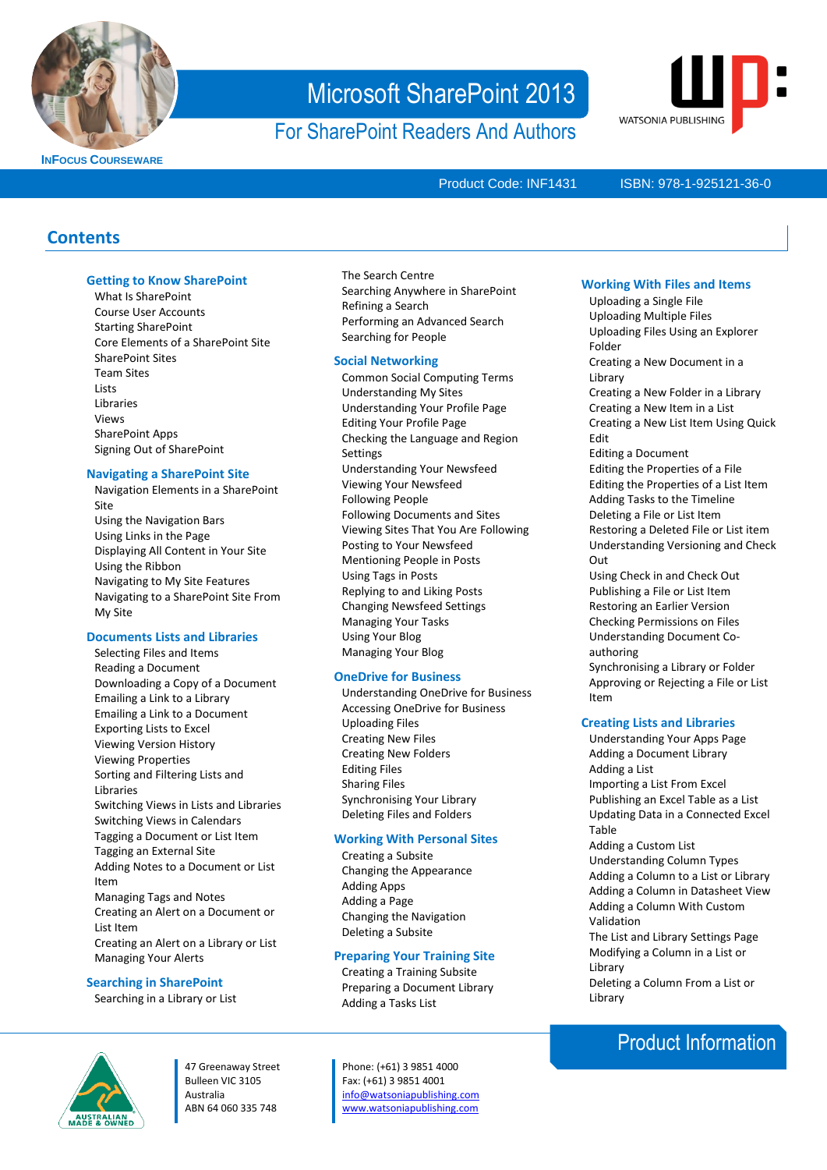

**INFOCUS COURSEWARE**

# Microsoft SharePoint 2013

For SharePoint Readers And Authors



Product Code: INF1431

#### ISBN: 978-1-925121-36-0

### **Contents**

#### **Getting to Know SharePoint**

What Is SharePoint Course User Accounts Starting SharePoint Core Elements of a SharePoint Site SharePoint Sites Team Sites **Lists** Libraries Views SharePoint Apps Signing Out of SharePoint

#### **Navigating a SharePoint Site**

Navigation Elements in a SharePoint Site Using the Navigation Bars Using Links in the Page Displaying All Content in Your Site Using the Ribbon Navigating to My Site Features Navigating to a SharePoint Site From My Site

#### **Documents Lists and Libraries**

Selecting Files and Items Reading a Document Downloading a Copy of a Document Emailing a Link to a Library Emailing a Link to a Document Exporting Lists to Excel Viewing Version History Viewing Properties Sorting and Filtering Lists and Libraries Switching Views in Lists and Libraries Switching Views in Calendars Tagging a Document or List Item Tagging an External Site Adding Notes to a Document or List Item Managing Tags and Notes Creating an Alert on a Document or List Item Creating an Alert on a Library or List Managing Your Alerts

#### **Searching in SharePoint**

Searching in a Library or List

#### The Search Centre Searching Anywhere in SharePoint Refining a Search Performing an Advanced Search Searching for People

#### **Social Networking**

Common Social Computing Terms Understanding My Sites Understanding Your Profile Page Editing Your Profile Page Checking the Language and Region **Settings** Understanding Your Newsfeed Viewing Your Newsfeed Following People Following Documents and Sites Viewing Sites That You Are Following Posting to Your Newsfeed Mentioning People in Posts Using Tags in Posts Replying to and Liking Posts Changing Newsfeed Settings Managing Your Tasks Using Your Blog Managing Your Blog

#### **OneDrive for Business**

Understanding OneDrive for Business Accessing OneDrive for Business Uploading Files Creating New Files Creating New Folders Editing Files Sharing Files Synchronising Your Library Deleting Files and Folders

#### **Working With Personal Sites**

Creating a Subsite Changing the Appearance Adding Apps Adding a Page Changing the Navigation Deleting a Subsite

#### **Preparing Your Training Site**

Creating a Training Subsite Preparing a Document Library Adding a Tasks List

47 Greenaway Street Bulleen VIC 3105 Australia ABN 64 060 335 748

Phone: (+61) 3 9851 4000 Fax: (+61) 3 9851 4001 [info@watsoniapublishing.com](mailto:info@watsoniapublishing.com) [www.watsoniapublishing.com](http://www.watsoniapublishing.com/)

#### **Working With Files and Items**

Uploading a Single File Uploading Multiple Files Uploading Files Using an Explorer Folder Creating a New Document in a Library Creating a New Folder in a Library Creating a New Item in a List Creating a New List Item Using Quick Edit Editing a Document Editing the Properties of a File Editing the Properties of a List Item Adding Tasks to the Timeline Deleting a File or List Item Restoring a Deleted File or List item Understanding Versioning and Check Out Using Check in and Check Out Publishing a File or List Item Restoring an Earlier Version Checking Permissions on Files Understanding Document Coauthoring Synchronising a Library or Folder Approving or Rejecting a File or List Item **Creating Lists and Libraries**

- Understanding Your Apps Page Adding a Document Library Adding a List Importing a List From Excel Publishing an Excel Table as a List Updating Data in a Connected Excel Table Adding a Custom List Understanding Column Types Adding a Column to a List or Library Adding a Column in Datasheet View Adding a Column With Custom
- Validation The List and Library Settings Page Modifying a Column in a List or Library Deleting a Column From a List or Library

### Product Information